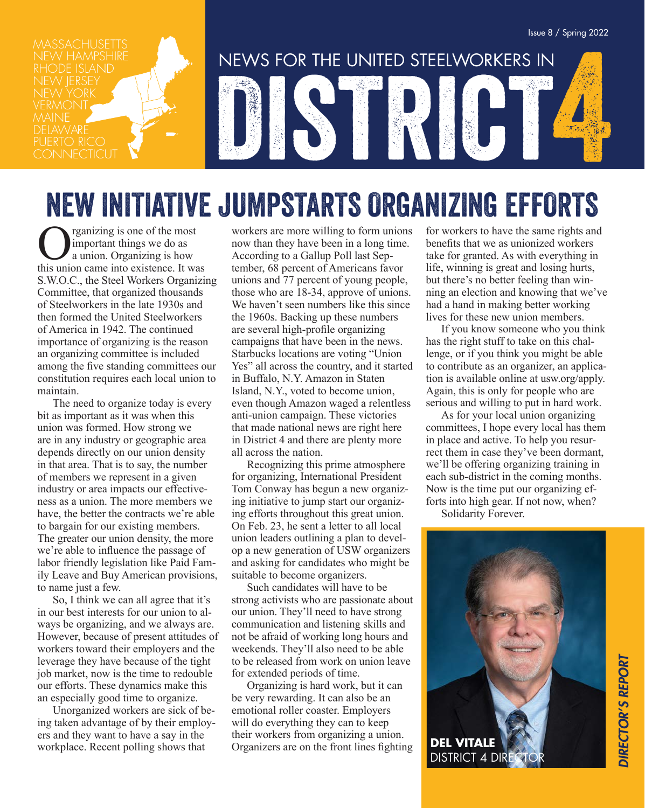vermont.<br>Maine **DELAWARE** 



## NEW INITIATIVE JUMPSTARTS ORGANIZING EFFORTS

**O** rganizing is one of the most<br>a union. Organizing is how<br>this union came into existence. It was important things we do as a union. Organizing is how this union came into existence. It was S.W.O.C., the Steel Workers Organizing Committee, that organized thousands of Steelworkers in the late 1930s and then formed the United Steelworkers of America in 1942. The continued importance of organizing is the reason an organizing committee is included among the five standing committees our constitution requires each local union to maintain.

The need to organize today is every bit as important as it was when this union was formed. How strong we are in any industry or geographic area depends directly on our union density in that area. That is to say, the number of members we represent in a given industry or area impacts our effectiveness as a union. The more members we have, the better the contracts we're able to bargain for our existing members. The greater our union density, the more we're able to influence the passage of labor friendly legislation like Paid Family Leave and Buy American provisions, to name just a few.

So, I think we can all agree that it's in our best interests for our union to always be organizing, and we always are. However, because of present attitudes of workers toward their employers and the leverage they have because of the tight job market, now is the time to redouble our efforts. These dynamics make this an especially good time to organize.

Unorganized workers are sick of being taken advantage of by their employers and they want to have a say in the workplace. Recent polling shows that

workers are more willing to form unions now than they have been in a long time. According to a Gallup Poll last September, 68 percent of Americans favor unions and 77 percent of young people, those who are 18-34, approve of unions. We haven't seen numbers like this since the 1960s. Backing up these numbers are several high-profile organizing campaigns that have been in the news. Starbucks locations are voting "Union Yes" all across the country, and it started in Buffalo, N.Y. Amazon in Staten Island, N.Y., voted to become union, even though Amazon waged a relentless anti-union campaign. These victories that made national news are right here in District 4 and there are plenty more all across the nation.

Recognizing this prime atmosphere for organizing, International President Tom Conway has begun a new organizing initiative to jump start our organizing efforts throughout this great union. On Feb. 23, he sent a letter to all local union leaders outlining a plan to develop a new generation of USW organizers and asking for candidates who might be suitable to become organizers.

Such candidates will have to be strong activists who are passionate about our union. They'll need to have strong communication and listening skills and not be afraid of working long hours and weekends. They'll also need to be able to be released from work on union leave for extended periods of time.

Organizing is hard work, but it can be very rewarding. It can also be an emotional roller coaster. Employers will do everything they can to keep their workers from organizing a union. Organizers are on the front lines fighting

for workers to have the same rights and benefits that we as unionized workers take for granted. As with everything in life, winning is great and losing hurts, but there's no better feeling than winning an election and knowing that we've had a hand in making better working lives for these new union members.

If you know someone who you think has the right stuff to take on this challenge, or if you think you might be able to contribute as an organizer, an application is available online at usw.org/apply. Again, this is only for people who are serious and willing to put in hard work.

As for your local union organizing committees, I hope every local has them in place and active. To help you resurrect them in case they've been dormant, we'll be offering organizing training in each sub-district in the coming months. Now is the time put our organizing efforts into high gear. If not now, when?

Solidarity Forever.

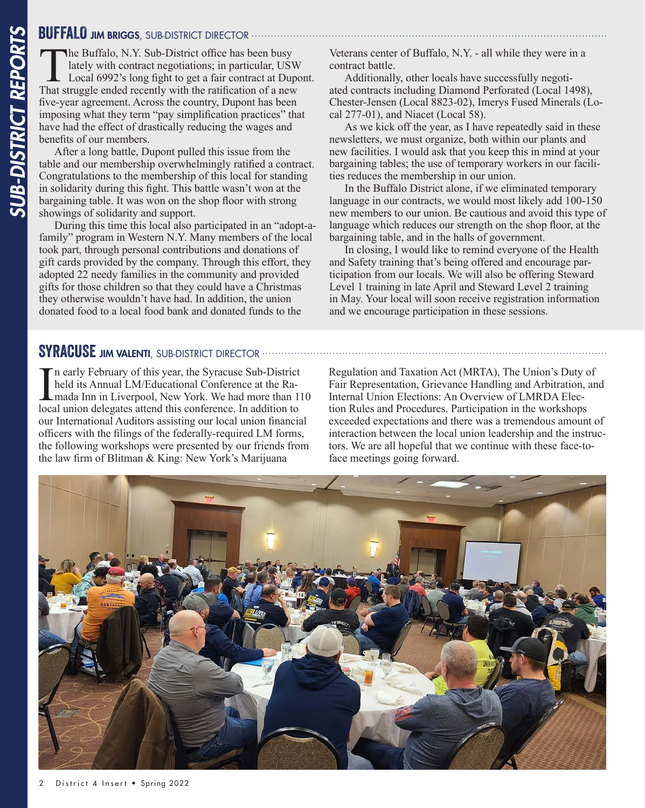**SUFFALO JIM BRIGGS**, SUB-DISTRICT DIRECTOR<br>
The Buffalo, N.Y. Sub-District office has l<br>
lately with contract negotiations; in parti<br>
Local 6992's long fight to get a fair contract<br>
That struggle ended recently with the r The Buffalo, N.Y. Sub-District office has been busy<br>lately with contract negotiations; in particular, USV<br>Local 6992's long fight to get a fair contract at Dup<br>That struggle ended recently with the ratification of a new lately with contract negotiations; in particular, USW Local 6992's long fight to get a fair contract at Dupont. That struggle ended recently with the ratification of a new five-year agreement. Across the country, Dupont has been imposing what they term "pay simplification practices" that have had the effect of drastically reducing the wages and benefits of our members.

After a long battle, Dupont pulled this issue from the table and our membership overwhelmingly ratified a contract. Congratulations to the membership of this local for standing in solidarity during this fight. This battle wasn't won at the bargaining table. It was won on the shop floor with strong showings of solidarity and support.

During this time this local also participated in an "adopt-afamily" program in Western N.Y. Many members of the local took part, through personal contributions and donations of gift cards provided by the company. Through this effort, they adopted 22 needy families in the community and provided gifts for those children so that they could have a Christmas they otherwise wouldn't have had. In addition, the union donated food to a local food bank and donated funds to the

Veterans center of Buffalo, N.Y. - all while they were in a contract battle.

Additionally, other locals have successfully negotiated contracts including Diamond Perforated (Local 1498), Chester-Jensen (Local 8823-02), Imerys Fused Minerals (Local 277-01), and Niacet (Local 58).

As we kick off the year, as I have repeatedly said in these newsletters, we must organize, both within our plants and new facilities. I would ask that you keep this in mind at your bargaining tables; the use of temporary workers in our facilities reduces the membership in our union.

In the Buffalo District alone, if we eliminated temporary language in our contracts, we would most likely add 100-150 new members to our union. Be cautious and avoid this type of language which reduces our strength on the shop floor, at the bargaining table, and in the halls of government.

In closing, I would like to remind everyone of the Health and Safety training that's being offered and encourage participation from our locals. We will also be offering Steward Level 1 training in late April and Steward Level 2 training in May. Your local will soon receive registration information and we encourage participation in these sessions.

### SYRACUSE JIM VALENTI, SUB-DISTRICT DIRECTOR ..........

In early February of this year, the Syracuse Sub-District held its Annual LM/Educational Conference at the Ra-<br>mada Inn in Liverpool, New York. We had more than 1 local union delegates attend this conference. In addition t n early February of this year, the Syracuse Sub-District held its Annual LM/Educational Conference at the Ramada Inn in Liverpool, New York. We had more than 110 our International Auditors assisting our local union financial officers with the filings of the federally-required LM forms, the following workshops were presented by our friends from the law firm of Blitman & King: New York's Marijuana

Regulation and Taxation Act (MRTA), The Union's Duty of Fair Representation, Grievance Handling and Arbitration, and Internal Union Elections: An Overview of LMRDA Election Rules and Procedures. Participation in the workshops exceeded expectations and there was a tremendous amount of interaction between the local union leadership and the instructors. We are all hopeful that we continue with these face-toface meetings going forward.

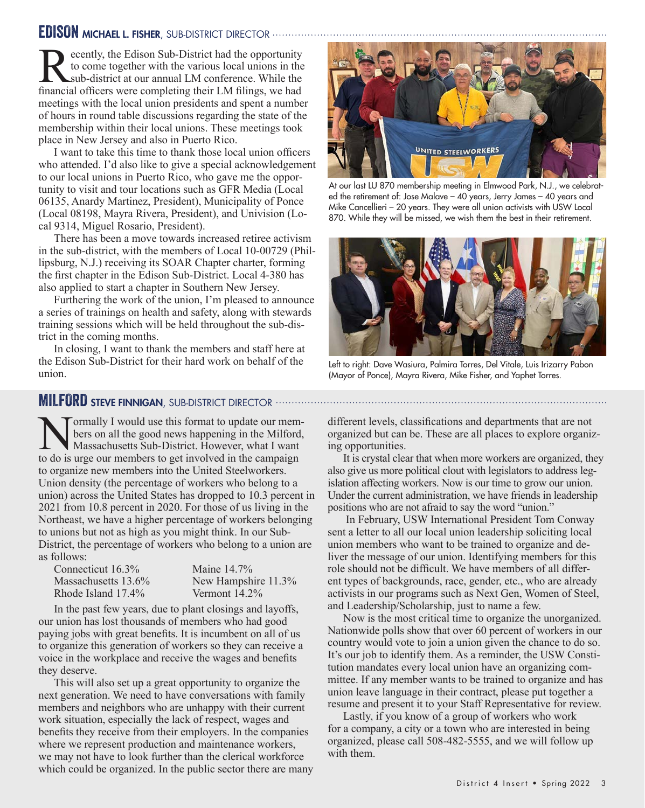### EDISON MICHAEL L. FISHER, SUB-DISTRICT DIRECTOR

Recently, the Edison Sub-District had the opportunity<br>to come together with the various local unions in the<br>sub-district at our annual LM conference. While the<br>financial officers were completing their LM filings, we had to come together with the various local unions in the sub-district at our annual LM conference. While the financial officers were completing their LM filings, we had meetings with the local union presidents and spent a number of hours in round table discussions regarding the state of the membership within their local unions. These meetings took place in New Jersey and also in Puerto Rico.

I want to take this time to thank those local union officers who attended. I'd also like to give a special acknowledgement to our local unions in Puerto Rico, who gave me the opportunity to visit and tour locations such as GFR Media (Local 06135, Anardy Martinez, President), Municipality of Ponce (Local 08198, Mayra Rivera, President), and Univision (Local 9314, Miguel Rosario, President).

There has been a move towards increased retiree activism in the sub-district, with the members of Local 10-00729 (Phillipsburg, N.J.) receiving its SOAR Chapter charter, forming the first chapter in the Edison Sub-District. Local 4-380 has also applied to start a chapter in Southern New Jersey.

Furthering the work of the union, I'm pleased to announce a series of trainings on health and safety, along with stewards training sessions which will be held throughout the sub-district in the coming months.

In closing, I want to thank the members and staff here at the Edison Sub-District for their hard work on behalf of the union.



At our last LU 870 membership meeting in Elmwood Park, N.J., we celebrated the retirement of: Jose Malave – 40 years, Jerry James – 40 years and Mike Cancellieri – 20 years. They were all union activists with USW Local 870. While they will be missed, we wish them the best in their retirement.



Left to right: Dave Wasiura, Palmira Torres, Del Vitale, Luis Irizarry Pabon (Mayor of Ponce), Mayra Rivera, Mike Fisher, and Yaphet Torres.

### **MILFORD STEVE FINNIGAN, SUB-DISTRICT DIRECTOR ....................**

ormally I would use this format to update our members on all the good news happening in the Milford, Massachusetts Sub-District. However, what I want to do is urge our members to get involved in the campaign to organize new members into the United Steelworkers. Union density (the percentage of workers who belong to a union) across the United States has dropped to 10.3 percent in 2021 from 10.8 percent in 2020. For those of us living in the Northeast, we have a higher percentage of workers belonging to unions but not as high as you might think. In our Sub-District, the percentage of workers who belong to a union are as follows:

| Connecticut 16.3%      | Maine 14.7%         |
|------------------------|---------------------|
| Massachusetts $13.6\%$ | New Hampshire 11.3% |
| Rhode Island 17.4%     | Vermont $14.2\%$    |

In the past few years, due to plant closings and layoffs, our union has lost thousands of members who had good paying jobs with great benefits. It is incumbent on all of us to organize this generation of workers so they can receive a voice in the workplace and receive the wages and benefits they deserve.

This will also set up a great opportunity to organize the next generation. We need to have conversations with family members and neighbors who are unhappy with their current work situation, especially the lack of respect, wages and benefits they receive from their employers. In the companies where we represent production and maintenance workers, we may not have to look further than the clerical workforce which could be organized. In the public sector there are many different levels, classifications and departments that are not organized but can be. These are all places to explore organizing opportunities.

It is crystal clear that when more workers are organized, they also give us more political clout with legislators to address legislation affecting workers. Now is our time to grow our union. Under the current administration, we have friends in leadership positions who are not afraid to say the word "union."

 In February, USW International President Tom Conway sent a letter to all our local union leadership soliciting local union members who want to be trained to organize and deliver the message of our union. Identifying members for this role should not be difficult. We have members of all different types of backgrounds, race, gender, etc., who are already activists in our programs such as Next Gen, Women of Steel, and Leadership/Scholarship, just to name a few.

Now is the most critical time to organize the unorganized. Nationwide polls show that over 60 percent of workers in our country would vote to join a union given the chance to do so. It's our job to identify them. As a reminder, the USW Constitution mandates every local union have an organizing committee. If any member wants to be trained to organize and has union leave language in their contract, please put together a resume and present it to your Staff Representative for review.

Lastly, if you know of a group of workers who work for a company, a city or a town who are interested in being organized, please call 508-482-5555, and we will follow up with them.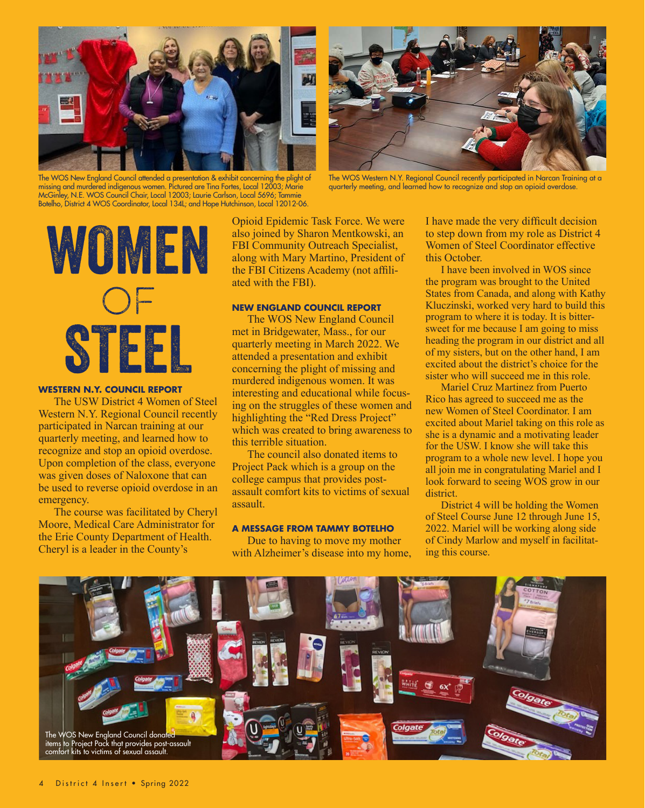

The WOS New England Council attended a presentation & exhibit concerning the plight of missing and murdered indigenous women. Pictured are Tina Fortes, Local 12003; Marie McGinley, N.E. WOS Council Chair, Local 12003; Laurie Carlson, Local 5696; Tammie Botelho, District 4 WOS Coordinator, Local 134L; and Hope Hutchinson, Local 12012-06.



The WOS Western N.Y. Regional Council recently participated in Narcan Training at a quarterly meeting, and learned how to recognize and stop an opioid overdose.



### **WESTERN N.Y. COUNCIL REPORT**

The USW District 4 Women of Steel Western N.Y. Regional Council recently participated in Narcan training at our quarterly meeting, and learned how to recognize and stop an opioid overdose. Upon completion of the class, everyone was given doses of Naloxone that can be used to reverse opioid overdose in an emergency.

The course was facilitated by Cheryl Moore, Medical Care Administrator for the Erie County Department of Health. Cheryl is a leader in the County's

Opioid Epidemic Task Force. We were also joined by Sharon Mentkowski, an FBI Community Outreach Specialist, along with Mary Martino, President of the FBI Citizens Academy (not affiliated with the FBI).

### **NEW ENGLAND COUNCIL REPORT**

The WOS New England Council met in Bridgewater, Mass., for our quarterly meeting in March 2022. We attended a presentation and exhibit concerning the plight of missing and murdered indigenous women. It was interesting and educational while focusing on the struggles of these women and highlighting the "Red Dress Project" which was created to bring awareness to this terrible situation.

The council also donated items to Project Pack which is a group on the college campus that provides postassault comfort kits to victims of sexual assault.

### **A MESSAGE FROM TAMMY BOTELHO**

Due to having to move my mother with Alzheimer's disease into my home, I have made the very difficult decision to step down from my role as District 4 Women of Steel Coordinator effective this October.

I have been involved in WOS since the program was brought to the United States from Canada, and along with Kathy Kluczinski, worked very hard to build this program to where it is today. It is bittersweet for me because I am going to miss heading the program in our district and all of my sisters, but on the other hand, I am excited about the district's choice for the sister who will succeed me in this role.

Mariel Cruz Martinez from Puerto Rico has agreed to succeed me as the new Women of Steel Coordinator. I am excited about Mariel taking on this role as she is a dynamic and a motivating leader for the USW. I know she will take this program to a whole new level. I hope you all join me in congratulating Mariel and I look forward to seeing WOS grow in our district.

District 4 will be holding the Women of Steel Course June 12 through June 15, 2022. Mariel will be working along side of Cindy Marlow and myself in facilitating this course.

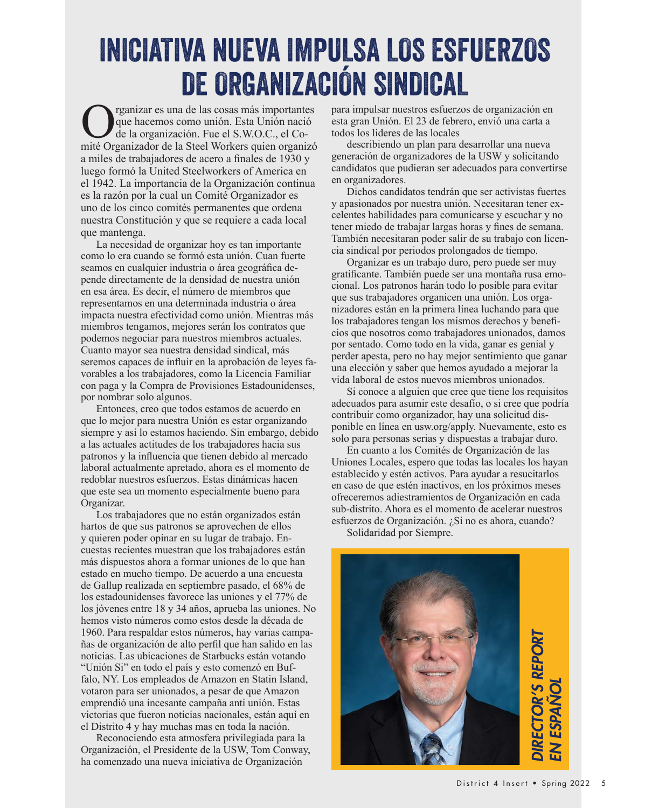### INICIATIVA NUEVA IMPULSA LOS ESFUERZOS DE ORGANIZACIÓN SINDICAL

Comité de la cosas más importantes<br>de la organización. Fue el S.W.O.C., el Comité Organizador de la Steel Workers quien organizón que hacemos como unión. Esta Unión nació de la organización. Fue el S.W.O.C., el Comité Organizador de la Steel Workers quien organizó a miles de trabajadores de acero a finales de 1930 y luego formó la United Steelworkers of America en el 1942. La importancia de la Organización continua es la razón por la cual un Comité Organizador es uno de los cinco comités permanentes que ordena nuestra Constitución y que se requiere a cada local que mantenga.

La necesidad de organizar hoy es tan importante como lo era cuando se formó esta unión. Cuan fuerte seamos en cualquier industria o área geográfica depende directamente de la densidad de nuestra unión en esa área. Es decir, el número de miembros que representamos en una determinada industria o área impacta nuestra efectividad como unión. Mientras más miembros tengamos, mejores serán los contratos que podemos negociar para nuestros miembros actuales. Cuanto mayor sea nuestra densidad sindical, más seremos capaces de influir en la aprobación de leyes favorables a los trabajadores, como la Licencia Familiar con paga y la Compra de Provisiones Estadounidenses, por nombrar solo algunos.

Entonces, creo que todos estamos de acuerdo en que lo mejor para nuestra Unión es estar organizando siempre y así lo estamos haciendo. Sin embargo, debido a las actuales actitudes de los trabajadores hacia sus patronos y la influencia que tienen debido al mercado laboral actualmente apretado, ahora es el momento de redoblar nuestros esfuerzos. Estas dinámicas hacen que este sea un momento especialmente bueno para Organizar.

Los trabajadores que no están organizados están hartos de que sus patronos se aprovechen de ellos y quieren poder opinar en su lugar de trabajo. Encuestas recientes muestran que los trabajadores están más dispuestos ahora a formar uniones de lo que han estado en mucho tiempo. De acuerdo a una encuesta de Gallup realizada en septiembre pasado, el 68% de los estadounidenses favorece las uniones y el 77% de los jóvenes entre 18 y 34 años, aprueba las uniones. No hemos visto números como estos desde la década de 1960. Para respaldar estos números, hay varias campañas de organización de alto perfil que han salido en las noticias. Las ubicaciones de Starbucks están votando "Unión Si" en todo el país y esto comenzó en Buffalo, NY. Los empleados de Amazon en Statin Island, votaron para ser unionados, a pesar de que Amazon emprendió una incesante campaña anti unión. Estas victorias que fueron noticias nacionales, están aquí en el Distrito 4 y hay muchas mas en toda la nación.

Reconociendo esta atmosfera privilegiada para la Organización, el Presidente de la USW, Tom Conway, ha comenzado una nueva iniciativa de Organización

para impulsar nuestros esfuerzos de organización en esta gran Unión. El 23 de febrero, envió una carta a todos los lideres de las locales

describiendo un plan para desarrollar una nueva generación de organizadores de la USW y solicitando candidatos que pudieran ser adecuados para convertirse en organizadores.

Dichos candidatos tendrán que ser activistas fuertes y apasionados por nuestra unión. Necesitaran tener excelentes habilidades para comunicarse y escuchar y no tener miedo de trabajar largas horas y fines de semana. También necesitaran poder salir de su trabajo con licencia sindical por periodos prolongados de tiempo.

Organizar es un trabajo duro, pero puede ser muy gratificante. También puede ser una montaña rusa emocional. Los patronos harán todo lo posible para evitar que sus trabajadores organicen una unión. Los organizadores están en la primera línea luchando para que los trabajadores tengan los mismos derechos y beneficios que nosotros como trabajadores unionados, damos por sentado. Como todo en la vida, ganar es genial y perder apesta, pero no hay mejor sentimiento que ganar una elección y saber que hemos ayudado a mejorar la vida laboral de estos nuevos miembros unionados.

Si conoce a alguien que cree que tiene los requisitos adecuados para asumir este desafío, o si cree que podría contribuir como organizador, hay una solicitud disponible en línea en usw.org/apply. Nuevamente, esto es solo para personas serias y dispuestas a trabajar duro.

En cuanto a los Comités de Organización de las Uniones Locales, espero que todas las locales los hayan establecido y estén activos. Para ayudar a resucitarlos en caso de que estén inactivos, en los próximos meses ofreceremos adiestramientos de Organización en cada sub-distrito. Ahora es el momento de acelerar nuestros esfuerzos de Organización. ¿Si no es ahora, cuando?

Solidaridad por Siempre.

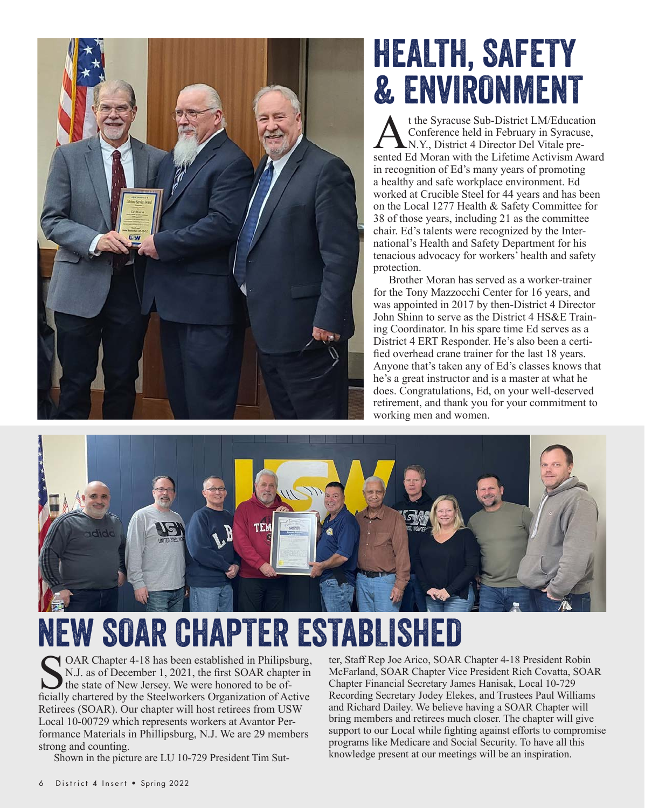

# HEALTH, SAFETY & ENVIRONMENT

t the Syracuse Sub-District LM/Education<br>Conference held in February in Syracuse,<br>N.Y., District 4 Director Del Vitale pre-<br>sented Ed Moran with the Lifetime Activism Awar Conference held in February in Syracuse, N.Y., District 4 Director Del Vitale presented Ed Moran with the Lifetime Activism Award in recognition of Ed's many years of promoting a healthy and safe workplace environment. Ed worked at Crucible Steel for 44 years and has been on the Local 1277 Health & Safety Committee for 38 of those years, including 21 as the committee chair. Ed's talents were recognized by the International's Health and Safety Department for his tenacious advocacy for workers' health and safety protection.

Brother Moran has served as a worker-trainer for the Tony Mazzocchi Center for 16 years, and was appointed in 2017 by then-District 4 Director John Shinn to serve as the District 4 HS&E Training Coordinator. In his spare time Ed serves as a District 4 ERT Responder. He's also been a certified overhead crane trainer for the last 18 years. Anyone that's taken any of Ed's classes knows that he's a great instructor and is a master at what he does. Congratulations, Ed, on your well-deserved retirement, and thank you for your commitment to working men and women.



NEW SOAR CHAPTER ESTABLISHED

OAR Chapter 4-18 has been established in Philipsburg, N.J. as of December 1, 2021, the first SOAR chapter in **the state of New Jersey. We were honored to be of**ficially chartered by the Steelworkers Organization of Active Retirees (SOAR). Our chapter will host retirees from USW Local 10-00729 which represents workers at Avantor Performance Materials in Phillipsburg, N.J. We are 29 members strong and counting.

Shown in the picture are LU 10-729 President Tim Sut-

ter, Staff Rep Joe Arico, SOAR Chapter 4-18 President Robin McFarland, SOAR Chapter Vice President Rich Covatta, SOAR Chapter Financial Secretary James Hanisak, Local 10-729 Recording Secretary Jodey Elekes, and Trustees Paul Williams and Richard Dailey. We believe having a SOAR Chapter will bring members and retirees much closer. The chapter will give support to our Local while fighting against efforts to compromise programs like Medicare and Social Security. To have all this knowledge present at our meetings will be an inspiration.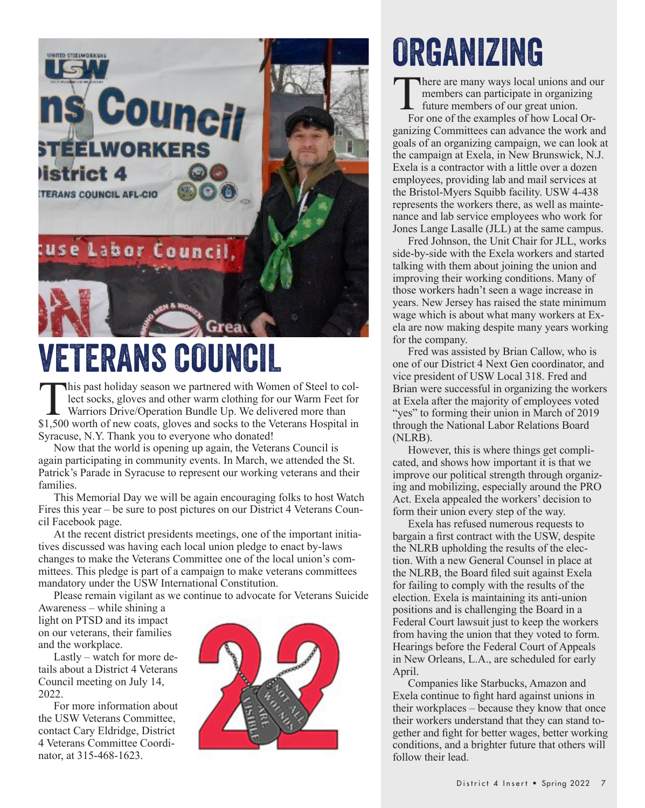

# VETERANS COUNCIL

This past holiday season we partnered with Women of Steel to collect socks, gloves and other warm clothing for our Warm Feet for Warriors Drive/Operation Bundle Up. We delivered more than \$1.500 worth of new coats, gloves lect socks, gloves and other warm clothing for our Warm Feet for Warriors Drive/Operation Bundle Up. We delivered more than \$1,500 worth of new coats, gloves and socks to the Veterans Hospital in Syracuse, N.Y. Thank you to everyone who donated!

Now that the world is opening up again, the Veterans Council is again participating in community events. In March, we attended the St. Patrick's Parade in Syracuse to represent our working veterans and their families.

This Memorial Day we will be again encouraging folks to host Watch Fires this year – be sure to post pictures on our District 4 Veterans Council Facebook page.

At the recent district presidents meetings, one of the important initiatives discussed was having each local union pledge to enact by-laws changes to make the Veterans Committee one of the local union's committees. This pledge is part of a campaign to make veterans committees mandatory under the USW International Constitution.

Please remain vigilant as we continue to advocate for Veterans Suicide

Awareness – while shining a light on PTSD and its impact on our veterans, their families and the workplace.

Lastly – watch for more details about a District 4 Veterans Council meeting on July 14, 2022.

For more information about the USW Veterans Committee, contact Cary Eldridge, District 4 Veterans Committee Coordinator, at 315-468-1623.



# ORGANIZING

There are many ways local unions and our<br>members can participate in organizing<br>future members of our great union.<br>For one of the examples of how Local Ormembers can participate in organizing future members of our great union.

For one of the examples of how Local Organizing Committees can advance the work and goals of an organizing campaign, we can look at the campaign at Exela, in New Brunswick, N.J. Exela is a contractor with a little over a dozen employees, providing lab and mail services at the Bristol-Myers Squibb facility. USW 4-438 represents the workers there, as well as maintenance and lab service employees who work for Jones Lange Lasalle (JLL) at the same campus.

Fred Johnson, the Unit Chair for JLL, works side-by-side with the Exela workers and started talking with them about joining the union and improving their working conditions. Many of those workers hadn't seen a wage increase in years. New Jersey has raised the state minimum wage which is about what many workers at Exela are now making despite many years working for the company.

Fred was assisted by Brian Callow, who is one of our District 4 Next Gen coordinator, and vice president of USW Local 318. Fred and Brian were successful in organizing the workers at Exela after the majority of employees voted "yes" to forming their union in March of 2019 through the National Labor Relations Board (NLRB).

However, this is where things get complicated, and shows how important it is that we improve our political strength through organizing and mobilizing, especially around the PRO Act. Exela appealed the workers' decision to form their union every step of the way.

Exela has refused numerous requests to bargain a first contract with the USW, despite the NLRB upholding the results of the election. With a new General Counsel in place at the NLRB, the Board filed suit against Exela for failing to comply with the results of the election. Exela is maintaining its anti-union positions and is challenging the Board in a Federal Court lawsuit just to keep the workers from having the union that they voted to form. Hearings before the Federal Court of Appeals in New Orleans, L.A., are scheduled for early April.

Companies like Starbucks, Amazon and Exela continue to fight hard against unions in their workplaces – because they know that once their workers understand that they can stand together and fight for better wages, better working conditions, and a brighter future that others will follow their lead.